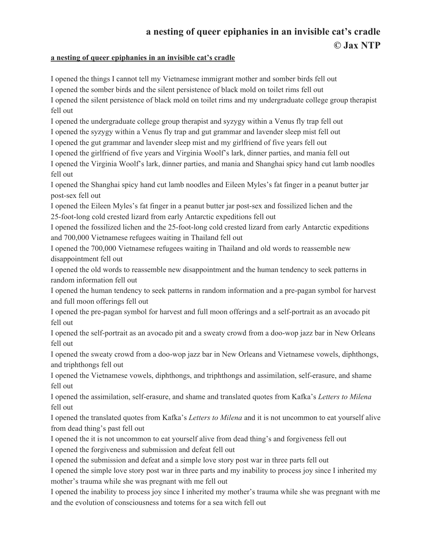## **a nesting of queer epiphanies in an invisible cat's cradle © Jax NTP**

## **a nesting of queer epiphanies in an invisible cat's cradle**

I opened the things I cannot tell my Vietnamese immigrant mother and somber birds fell out I opened the somber birds and the silent persistence of black mold on toilet rims fell out I opened the silent persistence of black mold on toilet rims and my undergraduate college group therapist fell out I opened the undergraduate college group therapist and syzygy within a Venus fly trap fell out I opened the syzygy within a Venus fly trap and gut grammar and lavender sleep mist fell out I opened the gut grammar and lavender sleep mist and my girlfriend of five years fell out I opened the girlfriend of five years and Virginia Woolf's lark, dinner parties, and mania fell out I opened the Virginia Woolf's lark, dinner parties, and mania and Shanghai spicy hand cut lamb noodles fell out I opened the Shanghai spicy hand cut lamb noodles and Eileen Myles's fat finger in a peanut butter jar post-sex fell out I opened the Eileen Myles's fat finger in a peanut butter jar post-sex and fossilized lichen and the 25-foot-long cold crested lizard from early Antarctic expeditions fell out I opened the fossilized lichen and the 25-foot-long cold crested lizard from early Antarctic expeditions and 700,000 Vietnamese refugees waiting in Thailand fell out I opened the 700,000 Vietnamese refugees waiting in Thailand and old words to reassemble new disappointment fell out I opened the old words to reassemble new disappointment and the human tendency to seek patterns in random information fell out

I opened the human tendency to seek patterns in random information and a pre-pagan symbol for harvest and full moon offerings fell out

I opened the pre-pagan symbol for harvest and full moon offerings and a self-portrait as an avocado pit fell out

I opened the self-portrait as an avocado pit and a sweaty crowd from a doo-wop jazz bar in New Orleans fell out

I opened the sweaty crowd from a doo-wop jazz bar in New Orleans and Vietnamese vowels, diphthongs, and triphthongs fell out

I opened the Vietnamese vowels, diphthongs, and triphthongs and assimilation, self-erasure, and shame fell out

I opened the assimilation, self-erasure, and shame and translated quotes from Kafka's *Letters to Milena* fell out

I opened the translated quotes from Kafka's *Letters to Milena* and it is not uncommon to eat yourself alive from dead thing's past fell out

I opened the it is not uncommon to eat yourself alive from dead thing's and forgiveness fell out I opened the forgiveness and submission and defeat fell out

I opened the submission and defeat and a simple love story post war in three parts fell out

I opened the simple love story post war in three parts and my inability to process joy since I inherited my mother's trauma while she was pregnant with me fell out

I opened the inability to process joy since I inherited my mother's trauma while she was pregnant with me and the evolution of consciousness and totems for a sea witch fell out